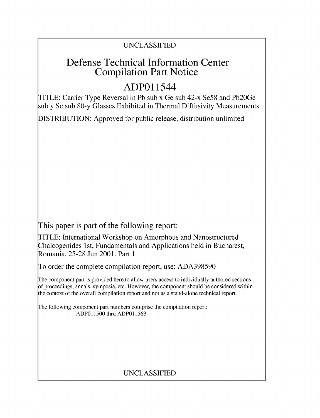## UNCLASSIFIED

## Defense Technical Information Center Compilation Part Notice

# **ADPO** 11544

TITLE: Carrier Type Reversal in Pb sub x Ge sub 42-x Se58 and Pb20Ge sub y Se sub 80-y Glasses Exhibited in Thermal Diffusivity Measurements

DISTRIBUTION: Approved for public release, distribution unlimited

This paper is part of the following report:

TITLE: International Workshop on Amorphous and Nanostructured Chalcogenides 1 st, Fundamentals and Applications held in Bucharest, Romania, 25-28 Jun 2001. Part 1

To order the complete compilation report, use: ADA398590

The component part is provided here to allow users access to individually authored sections f proceedings, annals, symposia, etc. However, the component should be considered within [he context of the overall compilation report and not as a stand-alone technical report.

The following component part numbers comprise the compilation report: ADPO11500 thru ADP011563

### UNCLASSIFIED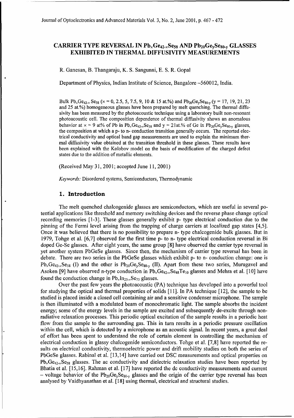#### **CARRIER TYPE REVERSAL IN Pb<sub>x</sub>Ge<sub>42-x</sub>Se<sub>58</sub> AND Pb<sub>20</sub>Ge<sub>y</sub>Se<sub>80-y</sub> GLASSES** EXHIBITED **IN** THERMAL **DIFFUSIVITY MEASUREMENTS**

R. Ganesan, B. Thangaraju, K. **S.** Sangunni, **E. S.** R. Gopal

Department of Physics, Indian Institute of Science, Bangalore -560012, India.

Bulk Pb<sub>x</sub>Ge<sub>42-x</sub> Se<sub>58</sub> ( $\times$  = 0, 2.5, 5, 7.5, 9, 10 & 15 at.%) and Pb<sub>20</sub>Ge<sub>y</sub>Se<sub>80-y</sub> ( $y$  = 17, 19, 21, 23 and 25 at.%) homogeneous glasses have been prepared by melt quenching. The thermal diffusivity has been measured by the photoacoustic technique using a laboratory built non-resonant photoacoustic cell. The composition dependence of thermal diffusivity shows an anomalous behavior at  $x = 9$  at% of Pb in Pb<sub>x</sub>Ge<sub>42-x</sub>Se<sub>58</sub> and  $y = 21$  at.% of Ge in Pb<sub>20</sub>Ge<sub>y</sub>Se<sub>80-y</sub> glasses, the composition at which a p- to n- conduction transition generally occurs. The reported electrical conductivity and optical band gap measurements are used to explain the minimum thermal diffusivity value obtained at the transition threshold in these glasses. These results have been explained with the Kolobov model on the basis of modification of the charged defect states due to the addition of metallic elements.

(Received May 31, 2001; accepted June 11, 2001)

*Keywords:* Disordered systems, Semiconductors, Thermodynamic

#### **1.** Introduction

The melt quenched chalcogenide glasses are semiconductors, which are useful in several potential applications like threshold and memory switching devices and the reverse phase change optical recording memories [1-3]. These glasses generally exhibit p- type electrical conduction due to the pinning of the Fermi level arising from the trapping of charge carriers at localized gap states [4,5]. Once it was believed that there is no possibility to prepare n- type chalcogenide bulk glasses. But in 1979, Tohge et al. [6,7] observed for the first time p- to n- type electrical conduction reversal in Bi doped Ge-Se glasses. After eight years, the same group [8] have observed the carrier type reversal in yet another system PbGeSe glasses. Since then, the mechanism of carrier type reversal has been in debate. There are two series in the PbGeSe glasses which exhibit p- to n- conduction change: one is  $Pb_xGe_{42-x}Se_{58}$  (I) and the other is  $Pb_{20}Ge_ySe_{80-y}$  (II). Apart from these two series, Murugavel and Asoken [9] have observed n-type conduction in  $Pb_xGe_{42-x}Se_{48}Te_{10}$  glasses and Mehra et al. [10] have found the conduction change in  $Pb_xIn_{25-x}Se_{75}$  glasses.

Over the past few years the photoacoustic (PA) technique has developed into a powerful tool for studying the optical and thermal properties of solids [11]. In PA technique [12], the sample to be studied is placed inside a closed cell containing air and a sensitive condenser microphone. The sample is then illuminated with a modulated beam of monochromatic light. The sample absorbs the incident energy; some of the energy levels in the sample are excited and subsequently de-excite through nonradiative relaxation processes. This periodic optical excitation of the sample results in a periodic heat flow from the sample to the surrounding gas. This in turn results in a periodic pressure oscillation within the cell, which is detected by a microphone as an acoustic signal. In recent years, a great deal of effort has been spent to understand the role of certain element in controlling the mechanism of electrical conduction in glassy chalcogenide semiconductors. Tohge et al. [7,8] have reported the results on electrical conductivity, thermoelectric power and drift mobility studies on both the series of PbGeSe glasses. Rabinal et al. [13,14] have carried out DSC measurements and optical properties on  $Pb_{x}Ge_{42-x}Se_{58}$  glasses. The ac conductivity and dielectric relaxation studies have been reported by Bhatia et al. [15,16]. Rahman et al. [ 17] have reported the dc conductivity measurements and current - voltage behavior of the  $Pb_{20}Ge_ySe_{80-y}$  glasses and the origin of the carrier type reversal has been analysed by Vaidhyanathan et al. [18] using thermal, electrical and structural studies.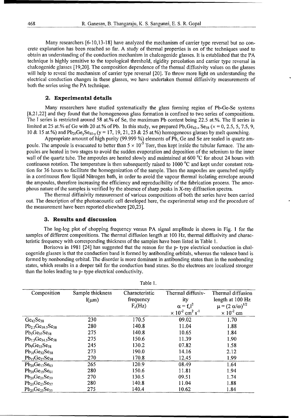Many researchers [6-10,13-18] have analyzed the mechanism of carrier type reversal but no concrete explanation has been reached so far. A study of thermal properties is on of the techniques used to obtain an understanding of the conduction mechanism in chalcogenide glasses. It is established that the PA technique is highly sensitive to the topological threshold, rigidity percolation and carrier type reversal in chalcogenide glasses [ 19,20]. The composition dependence of the thermal diffusivity values on the glasses will help to reveal the mechanism of carrier type reversal [20]. To throw more light on understanding the electrical conduction changes in these glasses, we have undertaken thermal diffusivity measurements of both the series using the PA technique.

#### 2. Experimental details

Many researchers have studied systematically the glass forming region of Pb-Ge-Se systems [8,21,22] and they found that the homogeneous glass formation is confined to two series of compositions. The I series is restricted around 58 at.% of Se, the maximum Pb content being 22.5 at.%. The II series is limited at 25 at.% of Ge with 20 at.% of Pb. In this study, we prepared  $Pb_xGe_{42-x}Se_{58}$  ( $x = 0, 2.5, 5, 7.5, 9$ , 10 & 15 at.%) and  $Pb_{20}Ge_ySe_{80-y}$  (y = 17, 19, 21, 23 & 25 at.%) homogeneous glasses by melt quenching.

Appropriate amount of high purity (99.999 **%)** elements of Pb, Ge and Se are sealed in quartz ampoule. The ampoule is evacuated to better than **5** *x* **10-5** Torr, then kept inside the tubular furnace. The ampoules are heated in two stages to avoid the sudden evaporation and deposition of the selenium to the inner wall of the quartz tube. The ampoules are heated slowly and maintained at 600 <sup>o</sup>C for about 24 hours with continuous rotation. The temperature is then subsequently raised to 1000 °C and kept under constant rotation for 36 hours to facilitate the homogenization of the sample. Then the ampoules are quenched rapidly in a continuous flow liquid Nitrogen bath, in order to avoid the vapour thermal isolating envelope around the ampoules, therefore increasing the efficiency and reproducibility of the fabrication process. The amorphous nature of the samples is verified by the absence of sharp peaks in X-ray diffraction spectra.

The thermal diffusivity measurement of various compositions of both the series have been carried out. The description of the photoacoustic cell developed here, the experimental setup and the procedure of the measurement have been reported elsewhere [20,23].

#### **3.** Results and discussion

The log-log plot of chopping frequency versus PA signal amplitude is shown in Fig. **I** for the samples of different compositions. The thermal diffusion length at 100 Hz, thermal diffusivity and characteristic frequency with corresponding thickness of the samples have been listed in Table 1.

Borisova in 1981 [24] has suggested that the reason for the p- type electrical conduction in chalcogenide glasses is that the conduction band is formed by antibonding orbitals, whereas the valence band is formed by nonbonding orbital. The disorder is more dominant in antibonding states than in the nonbonding states, which results in a deeper tail for the conduction band states. So the electrons are localized stronger than the holes leading to p- type electrical conductivity.

Table **1.**

|                                             |                  | .              |                                                  |                                 |
|---------------------------------------------|------------------|----------------|--------------------------------------------------|---------------------------------|
| Composition                                 | Sample thickness | Characteristic | Thermal diffusiv-                                | Thermal diffusion               |
|                                             | $l(\mu m)$       | frequency      | ity                                              | length at 100 Hz                |
|                                             |                  | $F_c(Hz)$      | $\alpha = f_c l^2$                               | $\mu = (2 \alpha/\omega)^{1/2}$ |
|                                             |                  |                | $\times 10^{-2}$ cm <sup>2</sup> s <sup>-1</sup> | $\times 10^{-2}$ cm             |
| $Ge_{42}Se_{58}$                            | 230              | 170.5          | 09.02                                            | 1.70                            |
| $Pb_2$ sGe <sub>39.5</sub> Se <sub>58</sub> | 280              | 140.8          | 11.04                                            | 1.88                            |
| $Pb_5Ge_{37}Se_{58}$                        | 275              | 140.8          | 10.65                                            | 1.84                            |
| $Pb_{7.5}Ge_{34.5}Se_{58}$                  | 275              | 150.6          | 11.39                                            | 1.90                            |
| $Pb_9Ge_{33}Se_{58}$                        | 245              | 130.2          | 07.82                                            | 1.58                            |
| $Pb_{10}Ge_{32}Se_{58}$                     | 273              | 190.0          | 14.16                                            | 2.12                            |
| $Pb_{15}Ge_{27}Se_{58}$                     | 270              | 170.8          | 12.45                                            | 1.99                            |
| $Pb_{20}Ge_{17}Se_{63}$                     | 265              | 120.9          | 08.49                                            | 1.64                            |
| $Pb_{20}Ge_{19}Se_{61}$                     | 280              | 150.6          | 11.81                                            | 1.94                            |
| $Pb_{20}Ge_{21}Se_{59}$                     | 270              | 130.5          | 09.51                                            | 1.74                            |
| $Pb_{20}Ge_{23}Se_{57}$                     | 280              | 140.8          | 11.04                                            | 1.88                            |
| $Pb_{20}Ge_{25}Se_{55}$                     | 275              | 140.4          | 10.62                                            | 1.84                            |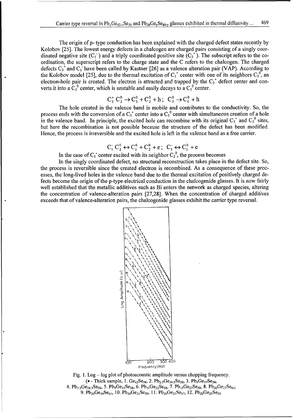The origin of p- type conduction has been explained with the charged defect states recently by Kolobov [25]. The lowest energy defects in a chalcogen are charged pairs consisting of a singly coordinated negative site  $(C_1)$  and a triply coordinated positive site  $(C_3^+)$ . The subscript refers to the coordination, the superscript refers to the charge state and the C refers to the chalcogen. The charged defects  $C_3^+$  and  $C_1^-$  have been called by Kastner [26] as a valence alteration pair (VAP). According to the Kolobov model [25], due to the thermal excitation of  $C_3^+$  center with one of its neighbors  $C_2^0$ , an electron-hole pair is created. The electron is attracted and trapped by the C<sub>3</sub><sup>+</sup> defect center and converts it into a  $C_3^0$  center, which is unstable and easily decays to a  $C_1^0$  center.

$$
C_3^+ C_2^0 \rightarrow C_3^0 + C_2^0 + h
$$
;  $C_3^0 \rightarrow C_1^0 + h$ 

The hole created in the valence band is mobile and contributes to the conductivity. So, the process ends with the conversion of a  $C_3^+$  center into a  $C_1^0$  center with simultaneous creation of a hole in the valence band. In principle, the excited hole can recombine with its original  $C_3^{\dagger}$  and  $C_2^{\dagger}$  sites but here the recombination is not possible because the structure of the defect has been modified. Hence, the process is irreversible and the excited hole is left in the valence band as a free carrier.

$$
C_1^{\cdot} C_2^0 \leftrightarrow C_1^0 + C_2^0 + e; C_1^{\cdot} \leftrightarrow C_1^0 + e
$$

In the case of  $C_1$  center excited with its neighbor  $C_2^0$ , the process becomes

In the singly coordinated defect, no structural reconstruction takes place in the defect site. So, the process is reversible since the created electron is recombined. As a consequence of these processes, the long-lived holes in the valence band due to the thermal excitation of positively charged defects become the origin of the p-type electrical conduction in the chalcogenide glasses. It is now fairly well established that the metallic additives such as Bi enters the network as charged species, altering the concentration of valence-alteration pairs [27,28]. When the concentration of charged additives exceeds that of valence-alteration pairs, the chalcogenide glasses exhibit the carrier type reversal.



Fig. 1. Log - log plot of photoacoustic amplitude versus chopping frequency. (• - Thick sample, 1.  $Ge_{42}Se_{58}$ , 2.  $Pb_{2.5}Ge_{39.5}Se_{58}$ , 3.  $Pb_5Ge_{37}Se_{58}$ , 4.  $\rm Pb_{7.5}Ge_{34.5}Se_{58}$ , 5.  $\rm Pb_9Ge_{33}Se_{58}$ , 6.  $\rm Pb_{10}Ge_{32}Se_{58}$ , 7.  $\rm Pb_{15}Ge_{27}Se_{58}$ , 8.  $\rm Pb_{20}Ge_{17}Se_{63}$ , 9. Pb<sub>20</sub>Ge<sub>19</sub>Se<sub>61</sub>, 10. Pb<sub>20</sub>Ge<sub>21</sub>Se<sub>59</sub>, 11. Pb<sub>20</sub>Ge<sub>23</sub>Se<sub>57</sub>, 12. Pb<sub>20</sub>Ge<sub>25</sub>Se<sub>55</sub>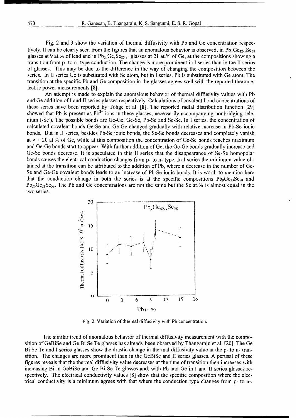Fig. 2 and 3 show the variation of thermal diffusivity with Pb and Ge concentration respectively. It can be clearly seen from the figures that an anomalous behavior is observed, in Pb<sub>x</sub>Ge<sub>42</sub>, Se<sub>58</sub> glasses at 9 at.% of lead and in  $Pb_{20}Ge_ySe_{80-y}$  glasses at 21 at.% of Ge, at the compositions showing a transition from p- to n- type conduction. The change is more prominent in I series than in the II series of glasses. This may be due to the difference in the way of changing the composition between the series. In **11** series Ge is substituted with Se atom, but in I series, Pb is substituted with Ge atom. The transition at the specific Pb and Ge composition in the glasses agrees well with the reported thermoelectric power measurements [8].

An attempt is made to explain the anomalous behavior of thermal diffusivity values with Pb and Ge addition of I and II series glasses respectively. Calculations of covalent bond concentrations of these series have been reported by Tohge et al. [8]. The reported radial distribution function [29] showed that Pb is present as  $Pb^{2+}$  ions in these glasses, necessarily accompanying nonbridging selenium (-Se'). The possible bonds are Ge-Ge. Ge-Se, Pb-Se and Se-Se. In **I** series, the concentration of calculated covalent bonds Ge-Se and Ge-Ge changed gradually with relative increase in Pb-Se ionic bonds. But in II series, besides Pb-Se ionic bonds, the Se-Se bonds decreases and completely vanish at  $x = 20$  at.% of Ge, while at this composition the concentration of Ge-Se bonds reaches maximum and Ge-Ge bonds start to appear. With further addition of Ge, the Ge-Ge bonds gradually increase and Ge-Se bonds decrease. It is speculated in this II series that the disappearance of Se-Se homopolar bonds causes the electrical conduction changes from p- to n- type. In I series the minimum value obtained at the transition can be attributed to the addition of Pb, where a decrease in the number of Ge-Se and Ge-Ge covalent bonds leads to an increase of Pb-Se ionic bonds. It is worth to mention here that the conduction change in both the series is at the specific compositions  $Pb_9Ge_{33}Se_{58}$  and  $Pb_{20}Ge_{21}Se_{59}$ . The Pb and Ge concentrations are not the same but the Se at.% is almost equal in the two series.



Fig. 2. Variation of thermal diffusivity with Pb concentration.

The similar trend of anomalous behavior of thermal diffusivity measurement with the composition of GeBiSe and Ge Bi Se Te glasses has already been observed by Thangaraju et al. [20]. The Ge Bi Se Te and I series glasses show the drastic change in thermal diffusivity value at the p- to n- transition. The changes are more prominent than in the GeBiSe and II series glasses. A perusal of these figures reveals that the thermal diffusivity value decreases at the time of transition then increases with increasing Bi in GeBiSe and Ge Bi Se Te glasses and, with Pb and Ge in I and II series glasses respectively. The electrical conductivity values [8] show that the specific composition where the electrical conductivity is a minimum agrees with that where the conduction type changes from p- to n-.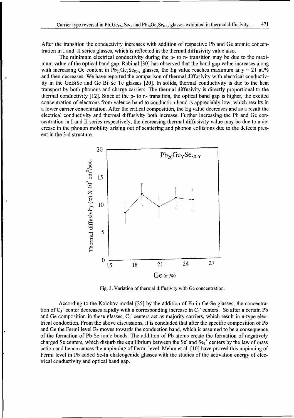After the transition the conductivity increases with addition of respective Pb and Ge atomic concentration in I and II series glasses, which is reflected in the thermal diffusivity value also.

The minimum electrical conductivity during the p- to n- transition may be due to the maximum value of the optical band gap. Rabinal [30] has observed that the band gap value increases along with increasing Ge content in  $Pb_{20}Ge_ySe_{80-y}$  glasses, the Eg value reaches maximum at  $y = 21$  at.% and then decreases. We have reported the comparison of thermal diffusivity with electrical conductivity in the GeBiSe and Ge Bi Se Te glasses [20]. In solids, thermal conductivity is due to the heat transport by both phonons and charge carriers. The thermal diffusivity is directly proportional to the thermal conductivity [12]. Since at the p- to n- transition, the optical band gap is higher, the excited concentration of electrons from valence band to conduction band is appreciably low, which results in a lower carrier concentration. After the critical composition, the Eg value decreases and as a result the electrical conductivity and thermal diffusivity both increase. Further increasing the Pb and Ge concentration in I and II series respectively, the decreasing thermal diffusivity value may be due to a decrease in the phonon mobility arising out of scattering and phonon collisions due to the defects present in the 3-d structure.



Fig. 3. Variation of thermal diffusivity with Ge concentration.

According to the Kolobov model [25] by the addition of Pb in Ge-Se glasses, the concentration of  $C_3^+$  center decreases rapidly with a corresponding increase in  $C_1^-$  centers. So after a certain Pb and Ge composition in these glasses,  $C_1$  centers act as majority carriers, which result in n-type electrical conduction. From the above discussions, it is concluded that after the specific composition of Pb and Ge the Fermi level E<sub>F</sub> moves towards the conduction band, which is assumed to be a consequence of the formation of Pb-Se ionic bonds. The addition of Pb atoms create the formation of negatively charged Se centers, which disturb the equilibrium between the Se<sup> $\cdot$ </sup> and Se<sub>3</sub><sup> $\cdot$ </sup> centers by the law of mass action and hence causes the unpinning of Fermi level. Mehra et al. [10] have proved this unpinning of Fermi level in Pb added Se-In chalcogenide glasses with the studies of the activation energy of electrical conductivity and optical band gap.